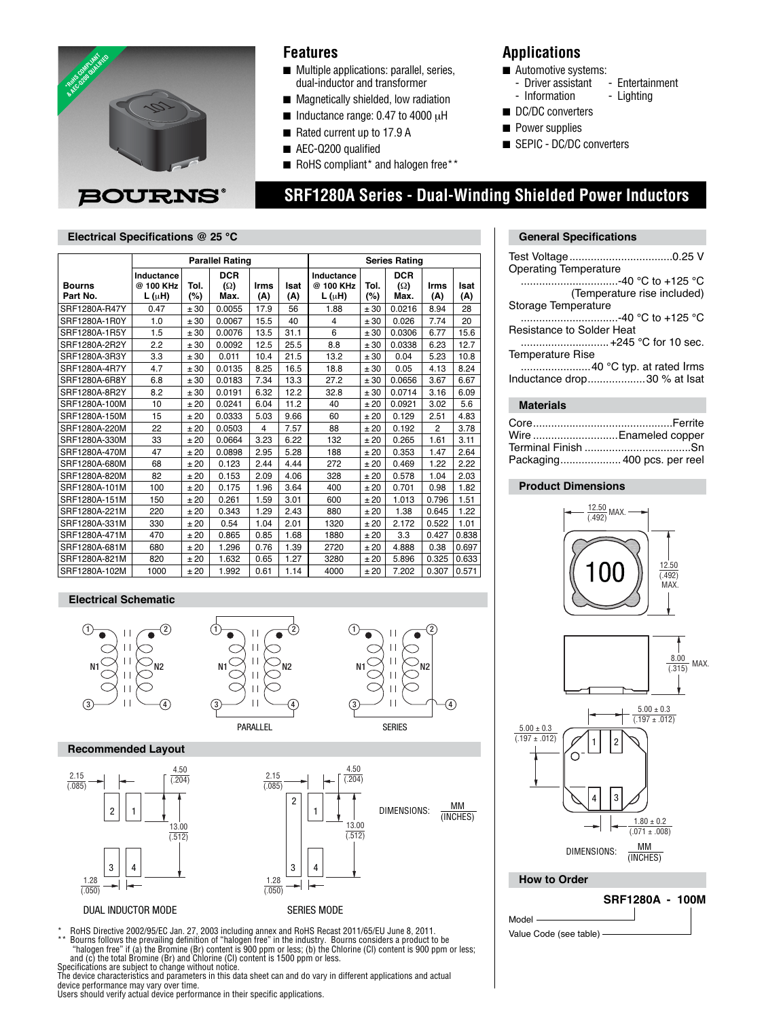

### **Features**

- Multiple applications: parallel, series, dual-inductor and transformer
- Magnetically shielded, low radiation
- Inductance range: 0.47 to 4000 µH
- Rated current up to 17.9 A
- AEC-Q200 qualified
- RoHS compliant\* and halogen free\*\*

### **Applications**

- 
- Automotive systems:<br>Figure assistant Entertainment -- Driver assistant
- Information Lighting
- DC/DC converters
- Power supplies
- SEPIC DC/DC converters

# **SRF1280A Series - Dual-Winding Shielded Power Inductors**

#### **Electrical Specifications @ 25 °C General Specifications General Specifications**

|               | <b>Parallel Rating</b> |      |            |      |      | <b>Series Rating</b> |        |            |       |       |
|---------------|------------------------|------|------------|------|------|----------------------|--------|------------|-------|-------|
|               | Inductance             |      | <b>DCR</b> |      |      | Inductance           |        | <b>DCR</b> |       |       |
| <b>Bourns</b> | @ 100 KHz              | Tol. | $(\Omega)$ | Irms | Isat | @ 100 KHz            | Tol.   | $(\Omega)$ | Irms  | Isat  |
| Part No.      | $L(\mu H)$             | (%)  | Max.       | (A)  | (A)  | $L(\mu H)$           | $(\%)$ | Max.       | (A)   | (A)   |
| SRF1280A-R47Y | 0.47                   | ± 30 | 0.0055     | 17.9 | 56   | 1.88                 | ± 30   | 0.0216     | 8.94  | 28    |
| SRF1280A-1R0Y | 1.0                    | ± 30 | 0.0067     | 15.5 | 40   | $\overline{4}$       | ± 30   | 0.026      | 7.74  | 20    |
| SRF1280A-1R5Y | 1.5                    | ± 30 | 0.0076     | 13.5 | 31.1 | 6                    | ± 30   | 0.0306     | 6.77  | 15.6  |
| SRF1280A-2R2Y | 2.2                    | ± 30 | 0.0092     | 12.5 | 25.5 | 8.8                  | ± 30   | 0.0338     | 6.23  | 12.7  |
| SRF1280A-3R3Y | 3.3                    | ± 30 | 0.011      | 10.4 | 21.5 | 13.2                 | ± 30   | 0.04       | 5.23  | 10.8  |
| SRF1280A-4R7Y | 4.7                    | ± 30 | 0.0135     | 8.25 | 16.5 | 18.8                 | ± 30   | 0.05       | 4.13  | 8.24  |
| SRF1280A-6R8Y | 6.8                    | ± 30 | 0.0183     | 7.34 | 13.3 | 27.2                 | ± 30   | 0.0656     | 3.67  | 6.67  |
| SRF1280A-8R2Y | 8.2                    | ± 30 | 0.0191     | 6.32 | 12.2 | 32.8                 | ± 30   | 0.0714     | 3.16  | 6.09  |
| SRF1280A-100M | 10                     | ±20  | 0.0241     | 6.04 | 11.2 | 40                   | ±20    | 0.0921     | 3.02  | 5.6   |
| SRF1280A-150M | 15                     | ±20  | 0.0333     | 5.03 | 9.66 | 60                   | ±20    | 0.129      | 2.51  | 4.83  |
| SRF1280A-220M | 22                     | ±20  | 0.0503     | 4    | 7.57 | 88                   | ±20    | 0.192      | 2     | 3.78  |
| SRF1280A-330M | 33                     | ±20  | 0.0664     | 3.23 | 6.22 | 132                  | ±20    | 0.265      | 1.61  | 3.11  |
| SRF1280A-470M | 47                     | ±20  | 0.0898     | 2.95 | 5.28 | 188                  | ±20    | 0.353      | 1.47  | 2.64  |
| SRF1280A-680M | 68                     | ±20  | 0.123      | 2.44 | 4.44 | 272                  | ±20    | 0.469      | 1.22  | 2.22  |
| SRF1280A-820M | 82                     | ±20  | 0.153      | 2.09 | 4.06 | 328                  | ±20    | 0.578      | 1.04  | 2.03  |
| SRF1280A-101M | 100                    | ±20  | 0.175      | 1.96 | 3.64 | 400                  | ±20    | 0.701      | 0.98  | 1.82  |
| SRF1280A-151M | 150                    | ±20  | 0.261      | 1.59 | 3.01 | 600                  | ±20    | 1.013      | 0.796 | 1.51  |
| SRF1280A-221M | 220                    | ±20  | 0.343      | 1.29 | 2.43 | 880                  | ±20    | 1.38       | 0.645 | 1.22  |
| SRF1280A-331M | 330                    | ±20  | 0.54       | 1.04 | 2.01 | 1320                 | ±20    | 2.172      | 0.522 | 1.01  |
| SRF1280A-471M | 470                    | ±20  | 0.865      | 0.85 | 1.68 | 1880                 | ±20    | 3.3        | 0.427 | 0.838 |
| SRF1280A-681M | 680                    | ±20  | 1.296      | 0.76 | 1.39 | 2720                 | ±20    | 4.888      | 0.38  | 0.697 |
| SRF1280A-821M | 820                    | ±20  | 1.632      | 0.65 | 1.27 | 3280                 | ±20    | 5.896      | 0.325 | 0.633 |
| SRF1280A-102M | 1000                   | ±20  | 1.992      | 0.61 | 1.14 | 4000                 | ±20    | 7.202      | 0.307 | 0.571 |

#### **Electrical Schematic**







#### **Recommended Layout**





\* RoHS Directive 2002/95/EC Jan. 27, 2003 including annex and RoHS Recast 2011/65/EU June 8, 2011.<br>\*\* Bourns follows the prevailing definition of "balogen free" in the industry. Bourns considers a product to be \*\* Bourns follows the prevailing definition of "halogen free" in the industry. Bourns considers a product to be<br>"halogen free" if (a) the Bromine (Br) content is 900 ppm or less; (b) the Chlorine (Cl) content is 900 ppm or

Specifications are subject to change without notice.<br>The device characteristics and parameters in this data sheet can and do vary in different applications and actual<br>device performance may vary over time.

Users should verify actual device performance in their specific applications.

| <b>Operating Temperature</b> |
|------------------------------|
| …………………………-40 °C to +125 °C  |
| (Temperature rise included)  |
| Storage Temperature          |
| …………………………-40 °C to +125 °C  |
| Resistance to Solder Heat    |
| +245 °C for 10 sec.          |
| <b>Temperature Rise</b>      |
| 40 °C typ. at rated Irms     |
| Inductance drop30 % at Isat  |
|                              |

#### **Materials**

| Wire Enameled copper        |  |
|-----------------------------|--|
|                             |  |
| Packaging 400 pcs. per reel |  |

#### **Product Dimensions**





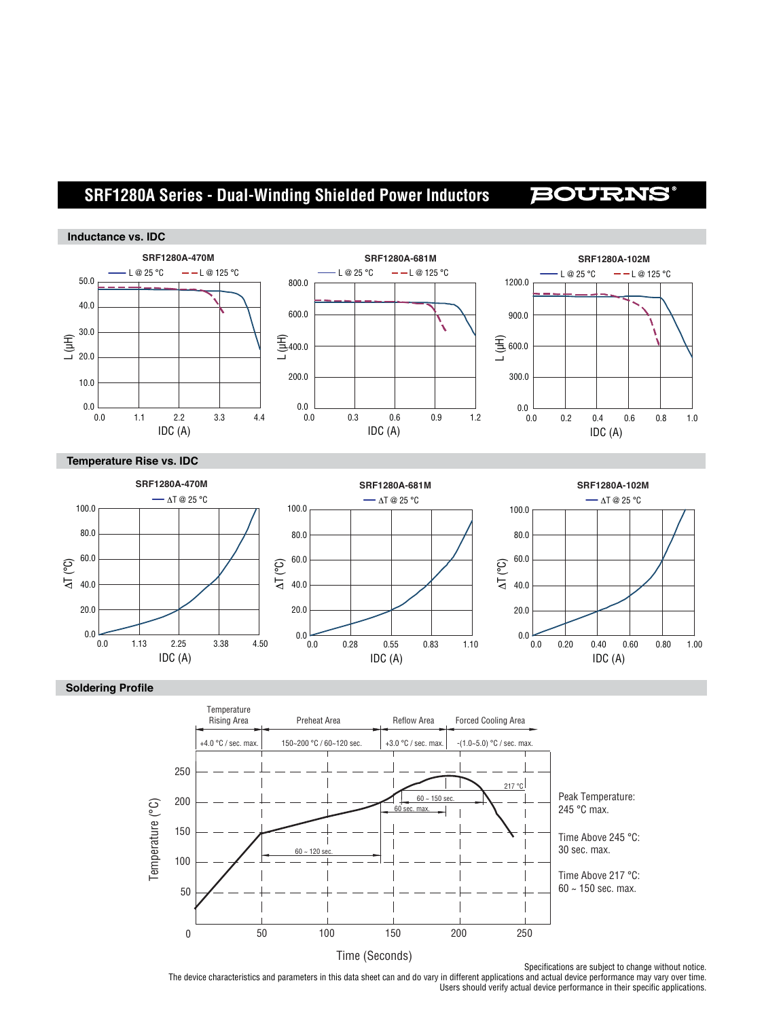# **SRF1280A Series - Dual-Winding Shielded Power Inductors**

## **BOURNS**





#### **Soldering Profile**



The device characteristics and parameters in this data sheet can and do vary in different applications and actual device performance may vary over time. Users should verify actual device performance in their specific applications.